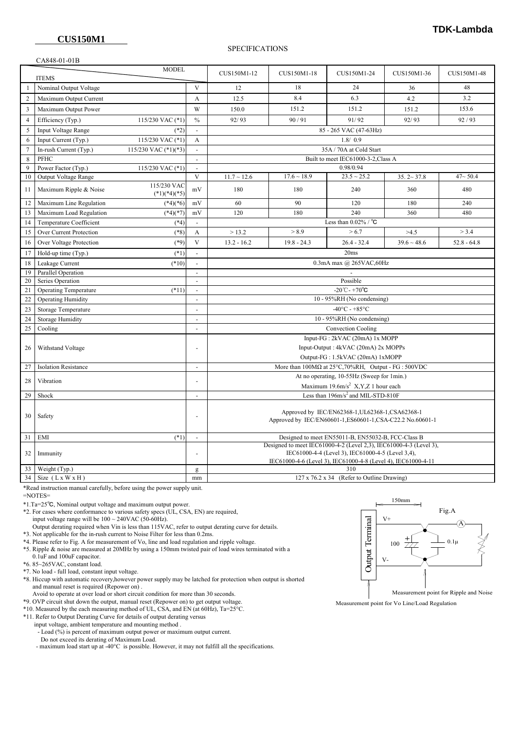## SPECIFICATIONS

## CA848-01-01B

|                              | $\sim$ 10 10 01 01 D                             |                               |                                |                                                                                                                    |                                                                    |                  |                  |               |  |
|------------------------------|--------------------------------------------------|-------------------------------|--------------------------------|--------------------------------------------------------------------------------------------------------------------|--------------------------------------------------------------------|------------------|------------------|---------------|--|
| <b>MODEL</b><br><b>ITEMS</b> |                                                  |                               |                                | CUS150M1-12                                                                                                        | CUS150M1-18                                                        | CUS150M1-24      | CUS150M1-36      | CUS150M1-48   |  |
|                              | Nominal Output Voltage                           |                               | V                              | 12                                                                                                                 | 18                                                                 | 24               | 36               | 48            |  |
| $\overline{2}$               | Maximum Output Current                           |                               | A                              | 12.5                                                                                                               | 8.4                                                                | 6.3              | 4.2              | 3.2           |  |
| $\overline{\mathbf{3}}$      | Maximum Output Power                             |                               | W                              | 150.0                                                                                                              | 151.2                                                              | 151.2            | 151.2            | 153.6         |  |
| $\overline{4}$               | Efficiency (Typ.)<br>115/230 VAC (*1)            |                               | $\frac{0}{0}$                  | 92/93                                                                                                              | 90/91                                                              | 91/92            | 92/93            | 92/93         |  |
| 5                            | Input Voltage Range                              | $(*2)$                        | $\sim$                         | 85 - 265 VAC (47-63Hz)                                                                                             |                                                                    |                  |                  |               |  |
| 6                            | 115/230 VAC (*1)<br>Input Current (Typ.)         |                               | А                              | 1.8/0.9                                                                                                            |                                                                    |                  |                  |               |  |
| $\overline{7}$               | In-rush Current (Typ.)<br>115/230 VAC $(*1)(*3)$ |                               | $\sim$                         | 35A / 70A at Cold Start                                                                                            |                                                                    |                  |                  |               |  |
| 8                            | PFHC                                             |                               |                                | Built to meet IEC61000-3-2, Class A                                                                                |                                                                    |                  |                  |               |  |
| 9                            | Power Factor (Typ.)<br>115/230 VAC (*1)          |                               |                                | 0.98/0.94                                                                                                          |                                                                    |                  |                  |               |  |
| 10                           | Output Voltage Range                             |                               | V                              | $11.7 \sim 12.6$                                                                                                   | $17.6\sim18.9$                                                     | $23.5 \sim 25.2$ | $35.2 \sim 37.8$ | $47 - 50.4$   |  |
| 11                           | Maximum Ripple & Noise                           | 115/230 VAC<br>$(*1)(*4)(*5)$ | mV                             | 180                                                                                                                | 180                                                                | 240              | 360              | 480           |  |
| 12                           | Maximum Line Regulation                          | $(*4)(*6)$                    | mV                             | 60                                                                                                                 | 90                                                                 | 120              | 180              | 240           |  |
| 13                           | Maximum Load Regulation                          | $(*4)(*7)$                    | mV                             | 120                                                                                                                | 180                                                                | 240              | 360              | 480           |  |
| 14                           | Temperature Coefficient                          | $(*4)$                        | $\sim$                         | Less than $0.02\%$ / $^{\circ}$ C                                                                                  |                                                                    |                  |                  |               |  |
| 15                           | Over Current Protection                          | $(*8)$                        | A                              | >13.2                                                                                                              | > 8.9                                                              | > 6.7            | >4.5             | > 3.4         |  |
| 16                           | Over Voltage Protection                          | $(*9)$                        | V                              | $13.2 - 16.2$                                                                                                      | $19.8 - 24.3$                                                      | $26.4 - 32.4$    | $39.6 \sim 48.6$ | $52.8 - 64.8$ |  |
| 17                           | Hold-up time (Typ.)                              | $(*1)$                        | $\sim$                         | 20ms                                                                                                               |                                                                    |                  |                  |               |  |
| 18                           | Leakage Current                                  | $(*10)$                       |                                | $0.3\mathrm{mA}$ max $@$ $265\mathrm{VAC},60\mathrm{Hz}$                                                           |                                                                    |                  |                  |               |  |
| 19                           | Parallel Operation                               |                               | $\sim$                         |                                                                                                                    |                                                                    |                  |                  |               |  |
| 20                           | Series Operation                                 |                               |                                | Possible                                                                                                           |                                                                    |                  |                  |               |  |
| 21                           | <b>Operating Temperature</b>                     | $(*11)$                       | $\blacksquare$                 | $-20^{\circ}$ C - +70 $^{\circ}$ C                                                                                 |                                                                    |                  |                  |               |  |
| 22                           | <b>Operating Humidity</b>                        |                               | $\sim$                         | 10 - 95%RH (No condensing)                                                                                         |                                                                    |                  |                  |               |  |
| 23                           | <b>Storage Temperature</b>                       |                               |                                | $-40^{\circ}$ C - +85°C                                                                                            |                                                                    |                  |                  |               |  |
| 24                           | <b>Storage Humidity</b>                          |                               | $\overline{a}$                 | 10 - 95%RH (No condensing)                                                                                         |                                                                    |                  |                  |               |  |
| 25                           | Cooling                                          |                               | $\overline{a}$                 | Convection Cooling                                                                                                 |                                                                    |                  |                  |               |  |
|                              |                                                  |                               | Input-FG: 2kVAC (20mA) 1x MOPP |                                                                                                                    |                                                                    |                  |                  |               |  |
| 26                           | Withstand Voltage                                |                               |                                | Input-Output: 4kVAC (20mA) 2x MOPPs                                                                                |                                                                    |                  |                  |               |  |
|                              |                                                  |                               |                                | Output-FG: 1.5kVAC (20mA) 1xMOPP                                                                                   |                                                                    |                  |                  |               |  |
| 27                           | <b>Isolation Resistance</b>                      |                               | $\overline{\phantom{a}}$       | More than $100M\Omega$ at $25^{\circ}$ C, 70%RH, Output - FG : 500VDC                                              |                                                                    |                  |                  |               |  |
| 28                           | Vibration                                        |                               |                                | At no operating, 10-55Hz (Sweep for 1min.)                                                                         |                                                                    |                  |                  |               |  |
|                              |                                                  |                               |                                | Maximum 19.6m/s <sup>2</sup> X,Y,Z 1 hour each                                                                     |                                                                    |                  |                  |               |  |
| 29                           | Shock                                            |                               | $\overline{a}$                 | Less than 196m/s <sup>2</sup> and MIL-STD-810F                                                                     |                                                                    |                  |                  |               |  |
| 30                           | Safety                                           |                               |                                | Approved by IEC/EN62368-1, UL62368-1, CSA62368-1<br>Approved by IEC/EN60601-1,ES60601-1,CSA-C22.2 No.60601-1       |                                                                    |                  |                  |               |  |
| 31                           | EMI                                              | $(*1)$                        |                                | Designed to meet EN55011-B, EN55032-B, FCC-Class B                                                                 |                                                                    |                  |                  |               |  |
| 32                           | Immunity                                         |                               |                                |                                                                                                                    | Designed to meet IEC61000-4-2 (Level 2,3), IEC61000-4-3 (Level 3), |                  |                  |               |  |
|                              |                                                  |                               | ÷,                             | IEC61000-4-4 (Level 3), IEC61000-4-5 (Level 3,4),<br>IEC61000-4-6 (Level 3), IEC61000-4-8 (Level 4), IEC61000-4-11 |                                                                    |                  |                  |               |  |
| 33                           | Weight (Typ.)                                    |                               | g                              | 310                                                                                                                |                                                                    |                  |                  |               |  |
| 34                           | Size $(LxWXH)$                                   |                               | mm                             | 127 x 76.2 x 34 (Refer to Outline Drawing)                                                                         |                                                                    |                  |                  |               |  |
|                              |                                                  |                               |                                |                                                                                                                    |                                                                    |                  |                  |               |  |

\*Read instruction manual carefully, before using the power supply unit.

=NOTES=

\*1.Ta=25℃, Nominal output voltage and maximum output power.

 \*2. For cases where conformance to various safety specs (UL, CSA, EN) are required, input voltage range will be  $100 \sim 240 \text{VAC}$  (50-60Hz).

 Output derating required when Vin is less than 115VAC, refer to output derating curve for details. \*3. Not applicable for the in-rush current to Noise Filter for less than 0.2ms.

\*4. Please refer to Fig. A for measurement of Vo, line and load regulation and ripple voltage.

 \*5. Ripple & noise are measured at 20MHz by using a 150mm twisted pair of load wires terminated with a 0.1uF and 100uF capacitor.

 $*6.85 \sim 265 \text{VAC}$ , constant load.

\*7. No load - full load, constant input voltage.

 \*8. Hiccup with automatic recovery,however power supply may be latched for protection when output is shorted and manual reset is required (Repower on) .

Avoid to operate at over load or short circuit condition for more than 30 seconds.

\*9. OVP circuit shut down the output, manual reset (Repower on) to get output voltage.

\*10. Measured by the each measuring method of UL, CSA, and EN (at 60Hz), Ta=25°C.

\*11. Refer to Output Derating Curve for details of output derating versus

input voltage, ambient temperature and mounting method .

- Load (%) is percent of maximum output power or maximum output current.

Do not exceed its derating of Maximum Load.

- maximum load start up at -40°C is possible. However, it may not fulfill all the specifications.



Measurement point for Vo Line/Load Regulation